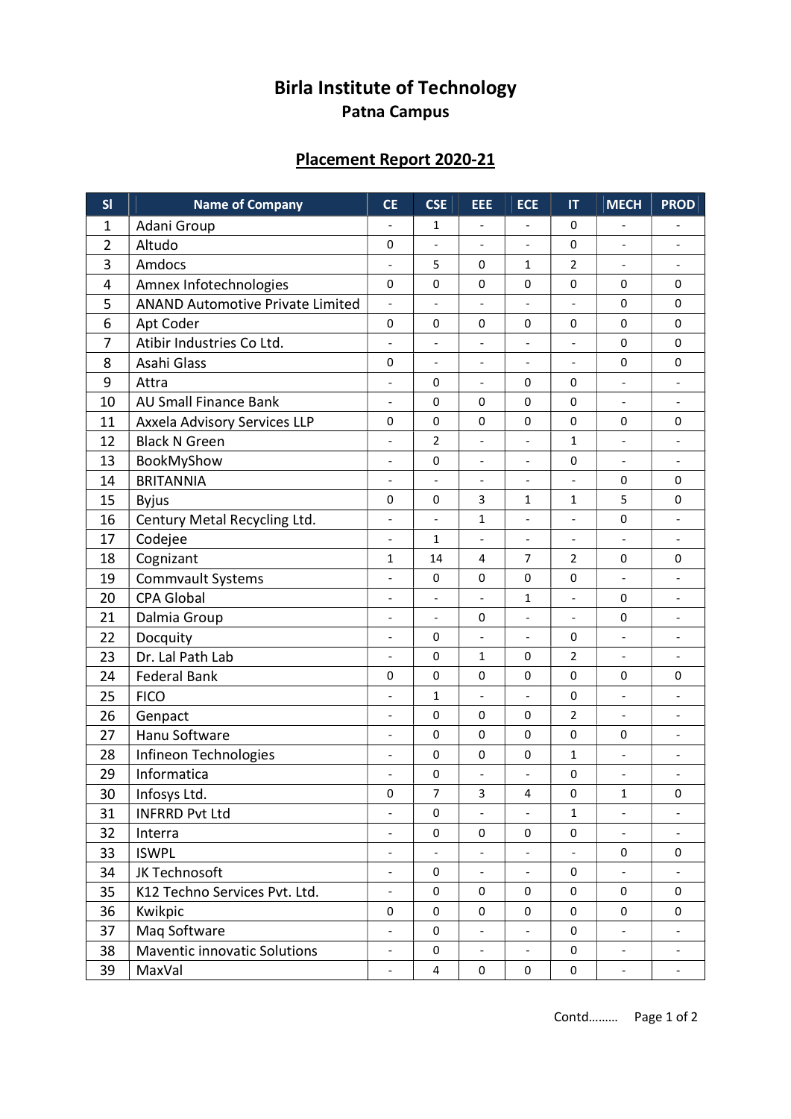## Birla Institute of Technology Patna Campus

## Placement Report 2020-21

| SI | <b>Name of Company</b>                  | <b>CE</b>                    | <b>CSE</b>               | EEE                      | <b>ECE</b>               | $\mathsf{I}\mathsf{T}$   | <b>MECH</b>              | <b>PROD</b>                  |
|----|-----------------------------------------|------------------------------|--------------------------|--------------------------|--------------------------|--------------------------|--------------------------|------------------------------|
| 1  | Adani Group                             | $\overline{\phantom{a}}$     | 1                        | $\overline{\phantom{a}}$ | $\overline{\phantom{a}}$ | 0                        | $\overline{\phantom{a}}$ | $\overline{\phantom{0}}$     |
| 2  | Altudo                                  | $\mathbf 0$                  | $\overline{a}$           |                          | $\overline{a}$           | 0                        | $\overline{a}$           | $\overline{\phantom{a}}$     |
| 3  | Amdocs                                  | $\overline{\phantom{m}}$     | 5                        | 0                        | 1                        | $\overline{2}$           | $\overline{\phantom{a}}$ | $\overline{a}$               |
| 4  | Amnex Infotechnologies                  | 0                            | 0                        | 0                        | 0                        | 0                        | 0                        | 0                            |
| 5  | <b>ANAND Automotive Private Limited</b> | $\overline{\phantom{a}}$     | $\overline{\phantom{a}}$ | $\overline{\phantom{a}}$ | $\overline{\phantom{a}}$ | $\overline{\phantom{a}}$ | 0                        | 0                            |
| 6  | Apt Coder                               | $\mathbf 0$                  | 0                        | 0                        | 0                        | 0                        | 0                        | 0                            |
| 7  | Atibir Industries Co Ltd.               | $\overline{\phantom{a}}$     | $\qquad \qquad -$        | $\overline{\phantom{a}}$ | $\overline{\phantom{a}}$ | $\overline{\phantom{a}}$ | 0                        | 0                            |
| 8  | Asahi Glass                             | 0                            | $\overline{\phantom{a}}$ | $\overline{\phantom{a}}$ | $\overline{\phantom{a}}$ | $\blacksquare$           | 0                        | 0                            |
| 9  | Attra                                   | $\overline{\phantom{a}}$     | 0                        | $\overline{\phantom{a}}$ | 0                        | 0                        | $\overline{\phantom{a}}$ | $\qquad \qquad -$            |
| 10 | <b>AU Small Finance Bank</b>            | $\blacksquare$               | 0                        | 0                        | 0                        | 0                        | $\overline{\phantom{a}}$ | $\overline{\phantom{a}}$     |
| 11 | Axxela Advisory Services LLP            | 0                            | 0                        | 0                        | 0                        | 0                        | 0                        | 0                            |
| 12 | <b>Black N Green</b>                    | $\overline{\phantom{a}}$     | 2                        | $\overline{\phantom{a}}$ | $\overline{\phantom{m}}$ | $\mathbf{1}$             | $\overline{\phantom{a}}$ | $\qquad \qquad \blacksquare$ |
| 13 | BookMyShow                              | $\overline{\phantom{a}}$     | $\pmb{0}$                |                          | $\overline{\phantom{a}}$ | 0                        | $\overline{\phantom{a}}$ | $\qquad \qquad -$            |
| 14 | <b>BRITANNIA</b>                        | $\overline{\phantom{a}}$     | $\overline{\phantom{a}}$ | $\overline{\phantom{a}}$ | $\overline{\phantom{a}}$ | $\overline{\phantom{0}}$ | $\pmb{0}$                | $\pmb{0}$                    |
| 15 | <b>Byjus</b>                            | $\mathbf 0$                  | 0                        | 3                        | $\mathbf{1}$             | $\mathbf{1}$             | 5                        | 0                            |
| 16 | Century Metal Recycling Ltd.            | $\overline{\phantom{a}}$     | $\overline{\phantom{a}}$ | 1                        | $\overline{\phantom{0}}$ | $\overline{\phantom{a}}$ | $\pmb{0}$                | $\overline{\phantom{m}}$     |
| 17 | Codejee                                 | $\overline{\phantom{a}}$     | 1                        |                          |                          | $\overline{\phantom{a}}$ | $\overline{a}$           |                              |
| 18 | Cognizant                               | 1                            | 14                       | $\overline{4}$           | 7                        | $\overline{2}$           | 0                        | 0                            |
| 19 | <b>Commvault Systems</b>                | $\overline{\phantom{a}}$     | 0                        | 0                        | 0                        | 0                        | $\overline{\phantom{a}}$ | $\overline{a}$               |
| 20 | <b>CPA Global</b>                       | $\overline{\phantom{a}}$     | $\overline{\phantom{a}}$ | $\overline{\phantom{a}}$ | 1                        | $\overline{\phantom{a}}$ | 0                        | $\qquad \qquad \blacksquare$ |
| 21 | Dalmia Group                            | $\overline{\phantom{a}}$     | $\overline{\phantom{a}}$ | 0                        | $\overline{\phantom{a}}$ | $\frac{1}{2}$            | 0                        | $\qquad \qquad \blacksquare$ |
| 22 | Docquity                                | $\qquad \qquad \blacksquare$ | 0                        |                          | $\overline{\phantom{a}}$ | 0                        | $\qquad \qquad -$        | $\qquad \qquad -$            |
| 23 | Dr. Lal Path Lab                        | $\overline{\phantom{a}}$     | $\pmb{0}$                | 1                        | $\pmb{0}$                | $\overline{2}$           | $\overline{\phantom{a}}$ |                              |
| 24 | <b>Federal Bank</b>                     | $\mathbf 0$                  | $\mathbf 0$              | 0                        | 0                        | 0                        | 0                        | 0                            |
| 25 | <b>FICO</b>                             | $\overline{\phantom{a}}$     | 1                        | $\overline{\phantom{a}}$ | $\overline{\phantom{a}}$ | 0                        | $\Box$                   | $\qquad \qquad -$            |
| 26 | Genpact                                 | $\overline{\phantom{a}}$     | $\pmb{0}$                | 0                        | $\mathsf 0$              | $\overline{2}$           | $\overline{\phantom{0}}$ | $\qquad \qquad \blacksquare$ |
| 27 | Hanu Software                           | $\overline{\phantom{a}}$     | $\pmb{0}$                | 0                        | $\pmb{0}$                | $\pmb{0}$                | 0                        | $\overline{a}$               |
| 28 | Infineon Technologies                   | $\qquad \qquad \blacksquare$ | 0                        | 0                        | $\pmb{0}$                | $\mathbf{1}$             | $\overline{\phantom{a}}$ | $\qquad \qquad \blacksquare$ |
| 29 | Informatica                             |                              | 0                        |                          | $\frac{1}{2}$            | 0                        | $\overline{\phantom{a}}$ | $\qquad \qquad -$            |
| 30 | Infosys Ltd.                            | $\pmb{0}$                    | $\overline{7}$           | 3                        | 4                        | 0                        | $\mathbf{1}$             | 0                            |
| 31 | <b>INFRRD Pvt Ltd</b>                   |                              | 0                        | $\overline{\phantom{a}}$ | $\overline{\phantom{a}}$ | $\mathbf{1}$             | $\overline{\phantom{a}}$ | $\overline{\phantom{0}}$     |
| 32 | Interra                                 | $\overline{\phantom{a}}$     | 0                        | 0                        | 0                        | 0                        | $\overline{\phantom{a}}$ |                              |
| 33 | <b>ISWPL</b>                            | $\overline{\phantom{a}}$     |                          | $\overline{\phantom{a}}$ | $\overline{\phantom{a}}$ | $\overline{\phantom{a}}$ | 0                        | 0                            |
| 34 | JK Technosoft                           | $\overline{\phantom{a}}$     | 0                        | $\Box$                   | $\blacksquare$           | $\mathsf{O}\xspace$      | $\overline{\phantom{a}}$ |                              |
| 35 | K12 Techno Services Pvt. Ltd.           |                              | 0                        | 0                        | 0                        | 0                        | 0                        | 0                            |
| 36 | Kwikpic                                 | $\mathsf{O}\xspace$          | 0                        | $\mathsf{O}\xspace$      | 0                        | $\mathsf{O}\xspace$      | $\mathsf{O}\xspace$      | 0                            |
| 37 | Maq Software                            |                              | 0                        |                          |                          | $\mathsf{O}\xspace$      |                          |                              |
| 38 | Maventic innovatic Solutions            | $\overline{\phantom{a}}$     | $\pmb{0}$                | $\blacksquare$           | $\blacksquare$           | 0                        | $\overline{\phantom{a}}$ | $\overline{\phantom{a}}$     |
| 39 | MaxVal                                  | $\overline{\phantom{a}}$     | $\overline{\mathbf{4}}$  | 0                        | $\mathsf{O}\xspace$      | 0                        | $\overline{\phantom{a}}$ |                              |